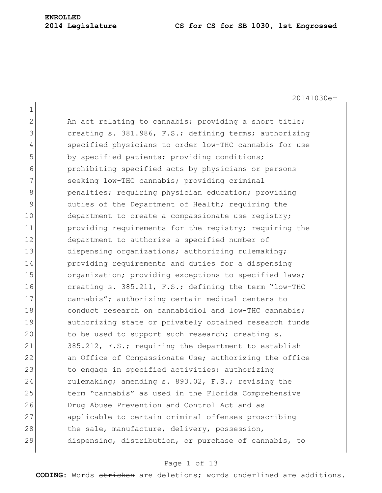20141030er

1  $2$  An act relating to cannabis; providing a short title; 3 3 creating s. 381.986, F.S.; defining terms; authorizing 4 specified physicians to order low-THC cannabis for use 5 by specified patients; providing conditions; 6 **prohibiting specified acts by physicians or persons** 7 Seeking low-THC cannabis; providing criminal 8 **penalties;** requiring physician education; providing 9 duties of the Department of Health; requiring the 10 department to create a compassionate use registry; 11 **providing requirements for the registry; requiring the** 12 department to authorize a specified number of 13 dispensing organizations; authorizing rulemaking; 14 providing requirements and duties for a dispensing 15 organization; providing exceptions to specified laws; 16 creating s. 385.211, F.S.; defining the term "low-THC 17 cannabis"; authorizing certain medical centers to 18 conduct research on cannabidiol and low-THC cannabis; 19 authorizing state or privately obtained research funds 20 to be used to support such research; creating s. 21 385.212, F.S.; requiring the department to establish 22 an Office of Compassionate Use; authorizing the office 23 to engage in specified activities; authorizing 24 rulemaking; amending s. 893.02, F.S.; revising the 25 term "cannabis" as used in the Florida Comprehensive 26 Drug Abuse Prevention and Control Act and as 27 applicable to certain criminal offenses proscribing 28 the sale, manufacture, delivery, possession, 29 dispensing, distribution, or purchase of cannabis, to

### Page 1 of 13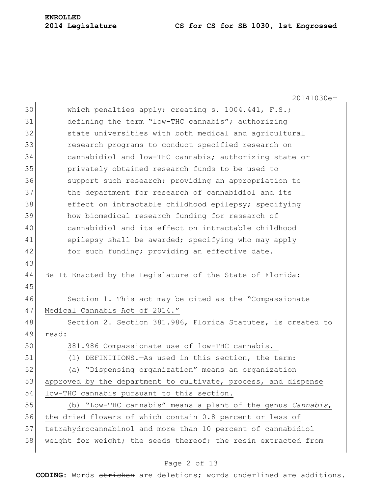#### **2014 Legislature CS for CS for SB 1030, 1st Engrossed**

20141030er 30 which penalties apply; creating s. 1004.441, F.S.; 31 defining the term "low-THC cannabis"; authorizing 32 state universities with both medical and agricultural 33 research programs to conduct specified research on 34 cannabidiol and low-THC cannabis; authorizing state or 35 privately obtained research funds to be used to 36 Support such research; providing an appropriation to 37 the department for research of cannabidiol and its 38 effect on intractable childhood epilepsy; specifying 39 how biomedical research funding for research of 40 cannabidiol and its effect on intractable childhood 41 epilepsy shall be awarded; specifying who may apply  $42$  for such funding; providing an effective date. 43 44 Be It Enacted by the Legislature of the State of Florida: 45 46 Section 1. This act may be cited as the "Compassionate" 47 Medical Cannabis Act of 2014." 48 Section 2. Section 381.986, Florida Statutes, is created to 49 read: 50 381.986 Compassionate use of low-THC cannabis.— 51 (1) DEFINITIONS.—As used in this section, the term: 52 (a) "Dispensing organization" means an organization 53 approved by the department to cultivate, process, and dispense 54 low-THC cannabis pursuant to this section. 55 (b) "Low-THC cannabis" means a plant of the genus *Cannabis*, 56 the dried flowers of which contain 0.8 percent or less of 57 tetrahydrocannabinol and more than 10 percent of cannabidiol 58 weight for weight; the seeds thereof; the resin extracted from

### Page 2 of 13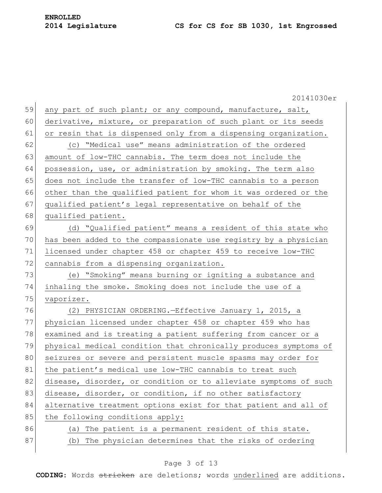|    | 20141030er                                                       |
|----|------------------------------------------------------------------|
| 59 | any part of such plant; or any compound, manufacture, salt,      |
| 60 | derivative, mixture, or preparation of such plant or its seeds   |
| 61 | or resin that is dispensed only from a dispensing organization.  |
| 62 | (c) "Medical use" means administration of the ordered            |
| 63 | amount of low-THC cannabis. The term does not include the        |
| 64 | possession, use, or administration by smoking. The term also     |
| 65 | does not include the transfer of low-THC cannabis to a person    |
| 66 | other than the qualified patient for whom it was ordered or the  |
| 67 | qualified patient's legal representative on behalf of the        |
| 68 | qualified patient.                                               |
| 69 | (d) "Qualified patient" means a resident of this state who       |
| 70 | has been added to the compassionate use registry by a physician  |
| 71 | licensed under chapter 458 or chapter 459 to receive low-THC     |
| 72 | cannabis from a dispensing organization.                         |
| 73 | (e) "Smoking" means burning or igniting a substance and          |
| 74 | inhaling the smoke. Smoking does not include the use of a        |
| 75 | vaporizer.                                                       |
| 76 | (2) PHYSICIAN ORDERING. - Effective January 1, 2015, a           |
| 77 | physician licensed under chapter 458 or chapter 459 who has      |
| 78 | examined and is treating a patient suffering from cancer or a    |
| 79 | physical medical condition that chronically produces symptoms of |
| 80 | seizures or severe and persistent muscle spasms may order for    |
| 81 | the patient's medical use low-THC cannabis to treat such         |
| 82 | disease, disorder, or condition or to alleviate symptoms of such |
| 83 | disease, disorder, or condition, if no other satisfactory        |
| 84 | alternative treatment options exist for that patient and all of  |
| 85 | the following conditions apply:                                  |
| 86 | (a) The patient is a permanent resident of this state.           |
| 87 | The physician determines that the risks of ordering<br>(b)       |
|    |                                                                  |

# Page 3 of 13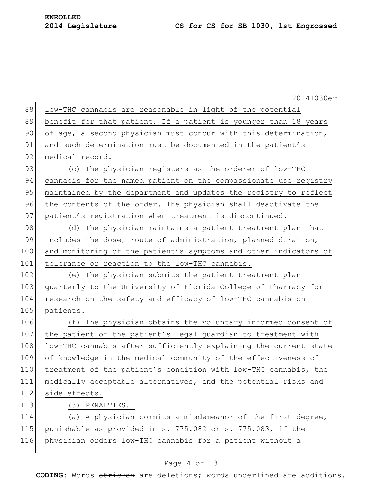|     | 20141030er                                                       |
|-----|------------------------------------------------------------------|
| 88  | low-THC cannabis are reasonable in light of the potential        |
| 89  | benefit for that patient. If a patient is younger than 18 years  |
| 90  | of age, a second physician must concur with this determination,  |
| 91  | and such determination must be documented in the patient's       |
| 92  | medical record.                                                  |
| 93  | (c) The physician registers as the orderer of low-THC            |
| 94  | cannabis for the named patient on the compassionate use registry |
| 95  | maintained by the department and updates the registry to reflect |
| 96  | the contents of the order. The physician shall deactivate the    |
| 97  | patient's registration when treatment is discontinued.           |
| 98  | (d) The physician maintains a patient treatment plan that        |
| 99  | includes the dose, route of administration, planned duration,    |
| 100 | and monitoring of the patient's symptoms and other indicators of |
| 101 | tolerance or reaction to the low-THC cannabis.                   |
| 102 | (e) The physician submits the patient treatment plan             |
| 103 | quarterly to the University of Florida College of Pharmacy for   |
| 104 | research on the safety and efficacy of low-THC cannabis on       |
| 105 | patients.                                                        |
| 106 | (f) The physician obtains the voluntary informed consent of      |
| 107 | the patient or the patient's legal quardian to treatment with    |
| 108 | low-THC cannabis after sufficiently explaining the current state |
| 109 | of knowledge in the medical community of the effectiveness of    |
| 110 | treatment of the patient's condition with low-THC cannabis, the  |
| 111 | medically acceptable alternatives, and the potential risks and   |
| 112 | side effects.                                                    |
| 113 | $(3)$ PENALTIES.-                                                |
| 114 | (a) A physician commits a misdemeanor of the first degree,       |
| 115 | punishable as provided in s. 775.082 or s. 775.083, if the       |
| 116 | physician orders low-THC cannabis for a patient without a        |
|     |                                                                  |

# Page 4 of 13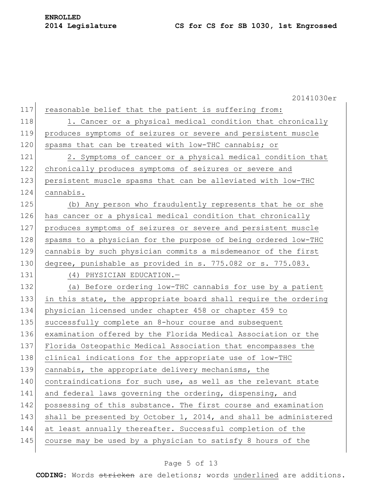|     | 20141030er                                                       |
|-----|------------------------------------------------------------------|
| 117 | reasonable belief that the patient is suffering from:            |
| 118 | 1. Cancer or a physical medical condition that chronically       |
| 119 | produces symptoms of seizures or severe and persistent muscle    |
| 120 | spasms that can be treated with low-THC cannabis; or             |
| 121 | 2. Symptoms of cancer or a physical medical condition that       |
| 122 | chronically produces symptoms of seizures or severe and          |
| 123 | persistent muscle spasms that can be alleviated with low-THC     |
| 124 | cannabis.                                                        |
| 125 | (b) Any person who fraudulently represents that he or she        |
| 126 | has cancer or a physical medical condition that chronically      |
| 127 | produces symptoms of seizures or severe and persistent muscle    |
| 128 | spasms to a physician for the purpose of being ordered low-THC   |
| 129 | cannabis by such physician commits a misdemeanor of the first    |
| 130 | degree, punishable as provided in s. 775.082 or s. 775.083.      |
| 131 | (4) PHYSICIAN EDUCATION.-                                        |
| 132 | (a) Before ordering low-THC cannabis for use by a patient        |
| 133 | in this state, the appropriate board shall require the ordering  |
| 134 | physician licensed under chapter 458 or chapter 459 to           |
| 135 | successfully complete an 8-hour course and subsequent            |
| 136 | examination offered by the Florida Medical Association or the    |
| 137 | Florida Osteopathic Medical Association that encompasses the     |
| 138 | clinical indications for the appropriate use of low-THC          |
| 139 | cannabis, the appropriate delivery mechanisms, the               |
| 140 | contraindications for such use, as well as the relevant state    |
| 141 | and federal laws governing the ordering, dispensing, and         |
| 142 | possessing of this substance. The first course and examination   |
| 143 | shall be presented by October 1, 2014, and shall be administered |
| 144 | at least annually thereafter. Successful completion of the       |
| 145 | course may be used by a physician to satisfy 8 hours of the      |
|     |                                                                  |

# Page 5 of 13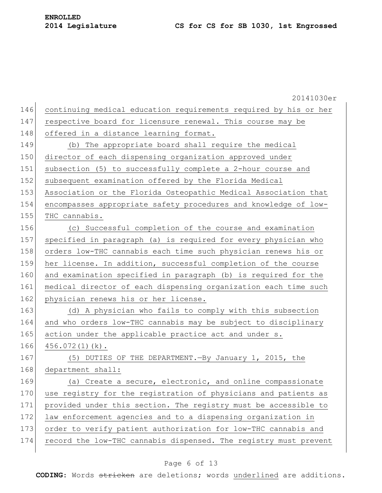|     | 20141030er                                                       |
|-----|------------------------------------------------------------------|
| 146 | continuing medical education requirements required by his or her |
| 147 | respective board for licensure renewal. This course may be       |
| 148 | offered in a distance learning format.                           |
| 149 | (b) The appropriate board shall require the medical              |
| 150 | director of each dispensing organization approved under          |
| 151 | subsection (5) to successfully complete a 2-hour course and      |
| 152 | subsequent examination offered by the Florida Medical            |
| 153 | Association or the Florida Osteopathic Medical Association that  |
| 154 | encompasses appropriate safety procedures and knowledge of low-  |
| 155 | THC cannabis.                                                    |
| 156 | (c) Successful completion of the course and examination          |
| 157 | specified in paragraph (a) is required for every physician who   |
| 158 | orders low-THC cannabis each time such physician renews his or   |
| 159 | her license. In addition, successful completion of the course    |
| 160 | and examination specified in paragraph (b) is required for the   |
| 161 | medical director of each dispensing organization each time such  |
| 162 | physician renews his or her license.                             |
| 163 | (d) A physician who fails to comply with this subsection         |
| 164 | and who orders low-THC cannabis may be subject to disciplinary   |
| 165 | action under the applicable practice act and under s.            |
| 166 | $456.072(1)(k)$ .                                                |
| 167 | (5) DUTIES OF THE DEPARTMENT. -By January 1, 2015, the           |
| 168 | department shall:                                                |
| 169 | (a) Create a secure, electronic, and online compassionate        |
| 170 | use registry for the registration of physicians and patients as  |
| 171 | provided under this section. The registry must be accessible to  |
| 172 | law enforcement agencies and to a dispensing organization in     |
| 173 | order to verify patient authorization for low-THC cannabis and   |
| 174 | record the low-THC cannabis dispensed. The registry must prevent |
|     |                                                                  |

### Page 6 of 13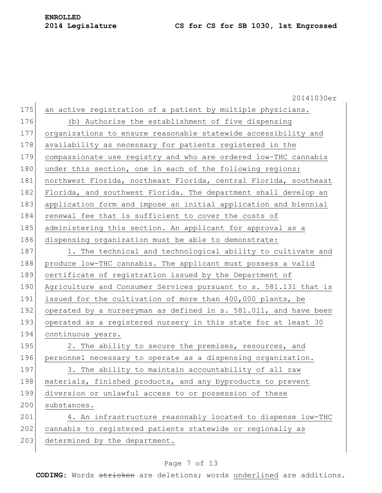20141030er 175 an active registration of a patient by multiple physicians. 176 (b) Authorize the establishment of five dispensing 177 organizations to ensure reasonable statewide accessibility and 178 availability as necessary for patients registered in the 179 compassionate use registry and who are ordered low-THC cannabis 180 under this section, one in each of the following regions: 181 northwest Florida, northeast Florida, central Florida, southeast 182 Florida, and southwest Florida. The department shall develop an 183 application form and impose an initial application and biennial 184 renewal fee that is sufficient to cover the costs of 185 administering this section. An applicant for approval as a 186 dispensing organization must be able to demonstrate: 187 1. The technical and technological ability to cultivate and 188 produce low-THC cannabis. The applicant must possess a valid 189 certificate of registration issued by the Department of 190 Agriculture and Consumer Services pursuant to s. 581.131 that is 191 issued for the cultivation of more than 400,000 plants, be 192 operated by a nurseryman as defined in s. 581.011, and have been 193 operated as a registered nursery in this state for at least 30 194 continuous years. 195 2. The ability to secure the premises, resources, and 196 personnel necessary to operate as a dispensing organization. 197 3. The ability to maintain accountability of all raw 198 materials, finished products, and any byproducts to prevent 199 diversion or unlawful access to or possession of these 200 substances. 201 4. An infrastructure reasonably located to dispense low-THC 202 cannabis to registered patients statewide or regionally as 203 determined by the department.

#### Page 7 of 13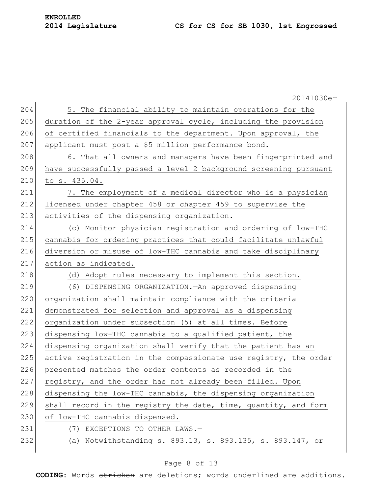| <b>ENROLLED</b> |                  |  |  |  |  |  |  |
|-----------------|------------------|--|--|--|--|--|--|
|                 | 2014 Legislature |  |  |  |  |  |  |

|     | 20141030er                                                       |
|-----|------------------------------------------------------------------|
| 204 | 5. The financial ability to maintain operations for the          |
| 205 | duration of the 2-year approval cycle, including the provision   |
| 206 | of certified financials to the department. Upon approval, the    |
| 207 | applicant must post a \$5 million performance bond.              |
| 208 | 6. That all owners and managers have been fingerprinted and      |
| 209 | have successfully passed a level 2 background screening pursuant |
| 210 | to s. 435.04.                                                    |
| 211 | 7. The employment of a medical director who is a physician       |
| 212 | licensed under chapter 458 or chapter 459 to supervise the       |
| 213 | activities of the dispensing organization.                       |
| 214 | (c) Monitor physician registration and ordering of low-THC       |
| 215 | cannabis for ordering practices that could facilitate unlawful   |
| 216 | diversion or misuse of low-THC cannabis and take disciplinary    |
| 217 | action as indicated.                                             |
| 218 | (d) Adopt rules necessary to implement this section.             |
| 219 | (6) DISPENSING ORGANIZATION. An approved dispensing              |
| 220 | organization shall maintain compliance with the criteria         |
| 221 | demonstrated for selection and approval as a dispensing          |
| 222 | organization under subsection (5) at all times. Before           |
| 223 | dispensing low-THC cannabis to a qualified patient, the          |
| 224 | dispensing organization shall verify that the patient has an     |
| 225 | active registration in the compassionate use registry, the order |
| 226 | presented matches the order contents as recorded in the          |
| 227 | registry, and the order has not already been filled. Upon        |
| 228 | dispensing the low-THC cannabis, the dispensing organization     |
| 229 | shall record in the registry the date, time, quantity, and form  |
| 230 | of low-THC cannabis dispensed.                                   |
| 231 | EXCEPTIONS TO OTHER LAWS.-<br>(7)                                |
| 232 | (a) Notwithstanding s. 893.13, s. 893.135, s. 893.147, or        |
|     |                                                                  |

# Page 8 of 13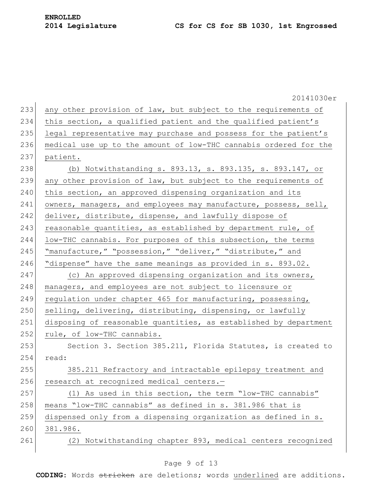|     | 20141030er                                                       |
|-----|------------------------------------------------------------------|
| 233 | any other provision of law, but subject to the requirements of   |
| 234 | this section, a qualified patient and the qualified patient's    |
| 235 | legal representative may purchase and possess for the patient's  |
| 236 | medical use up to the amount of low-THC cannabis ordered for the |
| 237 | patient.                                                         |
| 238 | (b) Notwithstanding s. 893.13, s. 893.135, s. 893.147, or        |
| 239 | any other provision of law, but subject to the requirements of   |
| 240 | this section, an approved dispensing organization and its        |
| 241 | owners, managers, and employees may manufacture, possess, sell,  |
| 242 | deliver, distribute, dispense, and lawfully dispose of           |
| 243 | reasonable quantities, as established by department rule, of     |
| 244 | low-THC cannabis. For purposes of this subsection, the terms     |
| 245 | "manufacture," "possession," "deliver," "distribute," and        |
| 246 | "dispense" have the same meanings as provided in s. 893.02.      |
| 247 | (c) An approved dispensing organization and its owners,          |
| 248 | managers, and employees are not subject to licensure or          |
| 249 | regulation under chapter 465 for manufacturing, possessing,      |
| 250 | selling, delivering, distributing, dispensing, or lawfully       |
| 251 | disposing of reasonable quantities, as established by department |
| 252 | rule, of low-THC cannabis.                                       |
| 253 | Section 3. Section 385.211, Florida Statutes, is created to      |
| 254 | read:                                                            |
| 255 | 385.211 Refractory and intractable epilepsy treatment and        |
| 256 | research at recognized medical centers.-                         |
| 257 | (1) As used in this section, the term "low-THC cannabis"         |
| 258 | means "low-THC cannabis" as defined in s. 381.986 that is        |
| 259 | dispensed only from a dispensing organization as defined in s.   |
| 260 | 381.986.                                                         |
| 261 | (2) Notwithstanding chapter 893, medical centers recognized      |
|     |                                                                  |

# Page 9 of 13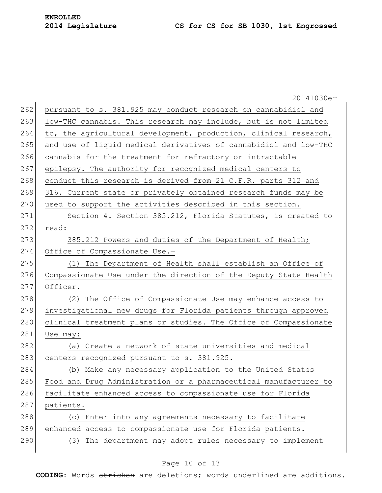|     | 20141030er                                                       |  |  |  |  |  |  |  |  |  |  |  |
|-----|------------------------------------------------------------------|--|--|--|--|--|--|--|--|--|--|--|
| 262 | pursuant to s. 381.925 may conduct research on cannabidiol and   |  |  |  |  |  |  |  |  |  |  |  |
| 263 | low-THC cannabis. This research may include, but is not limited  |  |  |  |  |  |  |  |  |  |  |  |
| 264 | to, the agricultural development, production, clinical research, |  |  |  |  |  |  |  |  |  |  |  |
| 265 | and use of liquid medical derivatives of cannabidiol and low-THC |  |  |  |  |  |  |  |  |  |  |  |
| 266 | cannabis for the treatment for refractory or intractable         |  |  |  |  |  |  |  |  |  |  |  |
| 267 | epilepsy. The authority for recognized medical centers to        |  |  |  |  |  |  |  |  |  |  |  |
| 268 | conduct this research is derived from 21 C.F.R. parts 312 and    |  |  |  |  |  |  |  |  |  |  |  |
| 269 | 316. Current state or privately obtained research funds may be   |  |  |  |  |  |  |  |  |  |  |  |
| 270 | used to support the activities described in this section.        |  |  |  |  |  |  |  |  |  |  |  |
| 271 | Section 4. Section 385.212, Florida Statutes, is created to      |  |  |  |  |  |  |  |  |  |  |  |
| 272 | read:                                                            |  |  |  |  |  |  |  |  |  |  |  |
| 273 | 385.212 Powers and duties of the Department of Health;           |  |  |  |  |  |  |  |  |  |  |  |
| 274 | Office of Compassionate Use.-                                    |  |  |  |  |  |  |  |  |  |  |  |
| 275 | (1) The Department of Health shall establish an Office of        |  |  |  |  |  |  |  |  |  |  |  |
| 276 | Compassionate Use under the direction of the Deputy State Health |  |  |  |  |  |  |  |  |  |  |  |
| 277 | Officer.                                                         |  |  |  |  |  |  |  |  |  |  |  |
| 278 | (2) The Office of Compassionate Use may enhance access to        |  |  |  |  |  |  |  |  |  |  |  |
| 279 | investigational new drugs for Florida patients through approved  |  |  |  |  |  |  |  |  |  |  |  |
| 280 | clinical treatment plans or studies. The Office of Compassionate |  |  |  |  |  |  |  |  |  |  |  |
| 281 | Use may:                                                         |  |  |  |  |  |  |  |  |  |  |  |
| 282 | (a) Create a network of state universities and medical           |  |  |  |  |  |  |  |  |  |  |  |
| 283 | centers recognized pursuant to s. 381.925.                       |  |  |  |  |  |  |  |  |  |  |  |
| 284 | (b) Make any necessary application to the United States          |  |  |  |  |  |  |  |  |  |  |  |
| 285 | Food and Drug Administration or a pharmaceutical manufacturer to |  |  |  |  |  |  |  |  |  |  |  |
| 286 | facilitate enhanced access to compassionate use for Florida      |  |  |  |  |  |  |  |  |  |  |  |
| 287 | patients.                                                        |  |  |  |  |  |  |  |  |  |  |  |
| 288 | (c) Enter into any agreements necessary to facilitate            |  |  |  |  |  |  |  |  |  |  |  |
| 289 | enhanced access to compassionate use for Florida patients.       |  |  |  |  |  |  |  |  |  |  |  |
| 290 | The department may adopt rules necessary to implement<br>(3)     |  |  |  |  |  |  |  |  |  |  |  |
|     |                                                                  |  |  |  |  |  |  |  |  |  |  |  |

### Page 10 of 13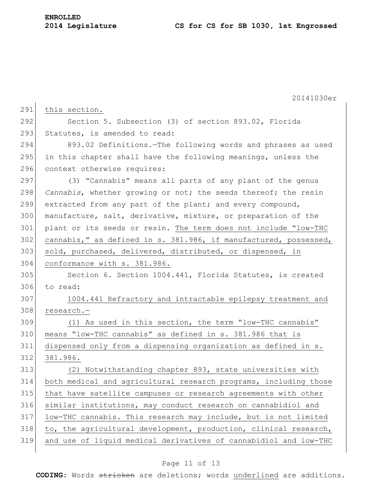|     | 20141030er                                                       |
|-----|------------------------------------------------------------------|
| 291 | this section.                                                    |
| 292 | Section 5. Subsection (3) of section 893.02, Florida             |
| 293 | Statutes, is amended to read:                                    |
| 294 | 893.02 Definitions. The following words and phrases as used      |
| 295 | in this chapter shall have the following meanings, unless the    |
| 296 | context otherwise requires:                                      |
| 297 | (3) "Cannabis" means all parts of any plant of the genus         |
| 298 | Cannabis, whether growing or not; the seeds thereof; the resin   |
| 299 | extracted from any part of the plant; and every compound,        |
| 300 | manufacture, salt, derivative, mixture, or preparation of the    |
| 301 | plant or its seeds or resin. The term does not include "low-THC  |
| 302 | cannabis," as defined in s. 381.986, if manufactured, possessed, |
| 303 | sold, purchased, delivered, distributed, or dispensed, in        |
| 304 | conformance with s. 381.986.                                     |
| 305 | Section 6. Section 1004.441, Florida Statutes, is created        |
| 306 | to read:                                                         |
| 307 | 1004.441 Refractory and intractable epilepsy treatment and       |
| 308 | research.-                                                       |
| 309 | (1) As used in this section, the term "low-THC cannabis"         |
| 310 | means "low-THC cannabis" as defined in s. 381.986 that is        |
| 311 | dispensed only from a dispensing organization as defined in s.   |
| 312 | 381.986.                                                         |
| 313 | (2) Notwithstanding chapter 893, state universities with         |
| 314 | both medical and agricultural research programs, including those |
| 315 | that have satellite campuses or research agreements with other   |
| 316 | similar institutions, may conduct research on cannabidiol and    |
| 317 | low-THC cannabis. This research may include, but is not limited  |
| 318 | to, the agricultural development, production, clinical research, |
| 319 | and use of liquid medical derivatives of cannabidiol and low-THC |
|     |                                                                  |

# Page 11 of 13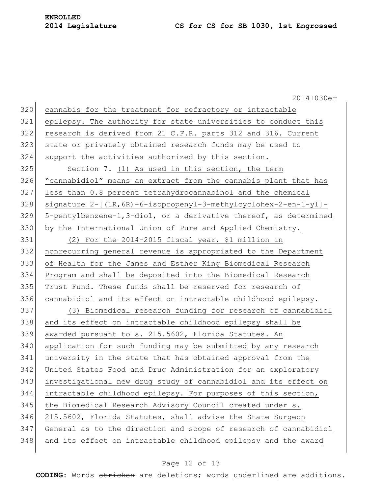|     | 20141030er                                                            |
|-----|-----------------------------------------------------------------------|
| 320 | cannabis for the treatment for refractory or intractable              |
| 321 | epilepsy. The authority for state universities to conduct this        |
| 322 | research is derived from 21 C.F.R. parts 312 and 316. Current         |
| 323 | state or privately obtained research funds may be used to             |
| 324 | support the activities authorized by this section.                    |
| 325 | Section 7. (1) As used in this section, the term                      |
| 326 | "cannabidiol" means an extract from the cannabis plant that has       |
| 327 | less than 0.8 percent tetrahydrocannabinol and the chemical           |
| 328 | $sigmoid(1R, 6R) - 6 - isopropeny1 - 3 - methylcyclohex-2-en-1-y1] -$ |
| 329 | 5-pentylbenzene-1,3-diol, or a derivative thereof, as determined      |
| 330 | by the International Union of Pure and Applied Chemistry.             |
| 331 | (2) For the 2014-2015 fiscal year, \$1 million in                     |
| 332 | nonrecurring general revenue is appropriated to the Department        |
| 333 | of Health for the James and Esther King Biomedical Research           |
| 334 | Program and shall be deposited into the Biomedical Research           |
| 335 | Trust Fund. These funds shall be reserved for research of             |
| 336 | cannabidiol and its effect on intractable childhood epilepsy.         |
| 337 | (3) Biomedical research funding for research of cannabidiol           |
| 338 | and its effect on intractable childhood epilepsy shall be             |
| 339 | awarded pursuant to s. 215.5602, Florida Statutes. An                 |
| 340 | application for such funding may be submitted by any research         |
| 341 | university in the state that has obtained approval from the           |
| 342 | United States Food and Drug Administration for an exploratory         |
| 343 | investigational new drug study of cannabidiol and its effect on       |
| 344 | intractable childhood epilepsy. For purposes of this section,         |
| 345 | the Biomedical Research Advisory Council created under s.             |
| 346 | 215.5602, Florida Statutes, shall advise the State Surgeon            |
| 347 | General as to the direction and scope of research of cannabidiol      |
| 348 | and its effect on intractable childhood epilepsy and the award        |
|     |                                                                       |

# Page 12 of 13